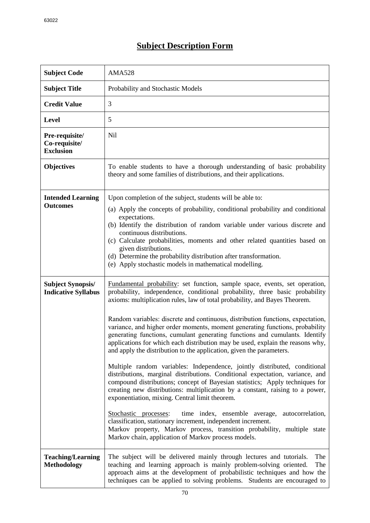## **Subject Description Form**

| <b>Subject Code</b>                                    | <b>AMA528</b>                                                                                                                                                                                                                                                                                                                                                                                                                                                                                                                                                                                                                                                                                                                                                                                                                                                                                                                                                                                                                                                                                                                                                                                                                                                                                                         |
|--------------------------------------------------------|-----------------------------------------------------------------------------------------------------------------------------------------------------------------------------------------------------------------------------------------------------------------------------------------------------------------------------------------------------------------------------------------------------------------------------------------------------------------------------------------------------------------------------------------------------------------------------------------------------------------------------------------------------------------------------------------------------------------------------------------------------------------------------------------------------------------------------------------------------------------------------------------------------------------------------------------------------------------------------------------------------------------------------------------------------------------------------------------------------------------------------------------------------------------------------------------------------------------------------------------------------------------------------------------------------------------------|
| <b>Subject Title</b>                                   | Probability and Stochastic Models                                                                                                                                                                                                                                                                                                                                                                                                                                                                                                                                                                                                                                                                                                                                                                                                                                                                                                                                                                                                                                                                                                                                                                                                                                                                                     |
| <b>Credit Value</b>                                    | 3                                                                                                                                                                                                                                                                                                                                                                                                                                                                                                                                                                                                                                                                                                                                                                                                                                                                                                                                                                                                                                                                                                                                                                                                                                                                                                                     |
| <b>Level</b>                                           | 5                                                                                                                                                                                                                                                                                                                                                                                                                                                                                                                                                                                                                                                                                                                                                                                                                                                                                                                                                                                                                                                                                                                                                                                                                                                                                                                     |
| Pre-requisite/<br>Co-requisite/<br><b>Exclusion</b>    | N <sub>il</sub>                                                                                                                                                                                                                                                                                                                                                                                                                                                                                                                                                                                                                                                                                                                                                                                                                                                                                                                                                                                                                                                                                                                                                                                                                                                                                                       |
| <b>Objectives</b>                                      | To enable students to have a thorough understanding of basic probability<br>theory and some families of distributions, and their applications.                                                                                                                                                                                                                                                                                                                                                                                                                                                                                                                                                                                                                                                                                                                                                                                                                                                                                                                                                                                                                                                                                                                                                                        |
| <b>Intended Learning</b><br><b>Outcomes</b>            | Upon completion of the subject, students will be able to:<br>(a) Apply the concepts of probability, conditional probability and conditional<br>expectations.<br>(b) Identify the distribution of random variable under various discrete and<br>continuous distributions.<br>(c) Calculate probabilities, moments and other related quantities based on<br>given distributions.<br>(d) Determine the probability distribution after transformation.<br>(e) Apply stochastic models in mathematical modelling.                                                                                                                                                                                                                                                                                                                                                                                                                                                                                                                                                                                                                                                                                                                                                                                                          |
| <b>Subject Synopsis/</b><br><b>Indicative Syllabus</b> | Fundamental probability: set function, sample space, events, set operation,<br>probability, independence, conditional probability, three basic probability<br>axioms: multiplication rules, law of total probability, and Bayes Theorem.<br>Random variables: discrete and continuous, distribution functions, expectation,<br>variance, and higher order moments, moment generating functions, probability<br>generating functions, cumulant generating functions and cumulants. Identify<br>applications for which each distribution may be used, explain the reasons why,<br>and apply the distribution to the application, given the parameters.<br>Multiple random variables: Independence, jointly distributed, conditional<br>distributions, marginal distributions. Conditional expectation, variance, and<br>compound distributions; concept of Bayesian statistics; Apply techniques for<br>creating new distributions: multiplication by a constant, raising to a power,<br>exponentiation, mixing. Central limit theorem.<br>time index, ensemble average,<br>Stochastic processes:<br>autocorrelation,<br>classification, stationary increment, independent increment.<br>Markov property, Markov process, transition probability, multiple state<br>Markov chain, application of Markov process models. |
| <b>Teaching/Learning</b><br><b>Methodology</b>         | The subject will be delivered mainly through lectures and tutorials.<br>The<br>teaching and learning approach is mainly problem-solving oriented.<br>The<br>approach aims at the development of probabilistic techniques and how the<br>techniques can be applied to solving problems. Students are encouraged to                                                                                                                                                                                                                                                                                                                                                                                                                                                                                                                                                                                                                                                                                                                                                                                                                                                                                                                                                                                                     |